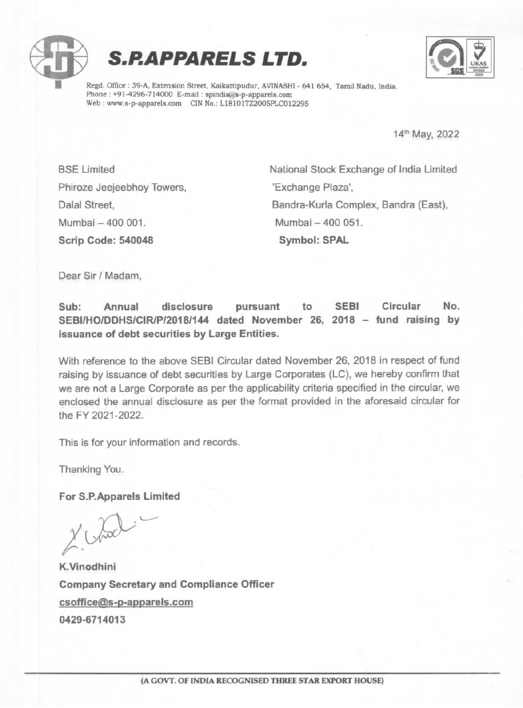





Phone : +91-4296-714000 E-mail : spindia@s-p-apparels.com Web: www.s-p-apparels.com CIN No.: L18101TZ2005PLC012295

14" May, 2022

Phiroze Jeejeebhoy Towers, The "Exchange Plaza", Mumbai - 400 001. Mumbai - 400 051. Scrip Code: 540048 Symbol: SPAL

BSE Limited National Stock Exchange of India Limited Dalal Street, Bandra-Kurla Complex, Bandra (East),

Dear Sir / Madam,

Sub: Annual disclosure pursuant to SEBI Circular No. SEBI/HO/DDHS/CIR/P/2018/144 dated November 26, 2018 - fund raising by issuance of debt securities by Large Entities.

With reference to the above SEBI Circular dated November 26, 2018 in respect of fund raising by issuance of debt securities by Large Corporates (LC), we hereby confirm that we are not a Large Corporate as per the applicability criteria specified in the circular, we enclosed the annual disclosure as per the format provided in the aforesaid circular for the FY 2021-2022.

This is for your information and records.

Thanking You.

For S.P.Apparels Limited

Chod

K.Vinodhini Company Secretary and Compliance Officer csoffice@s-p-apparels.com 0429-6714013